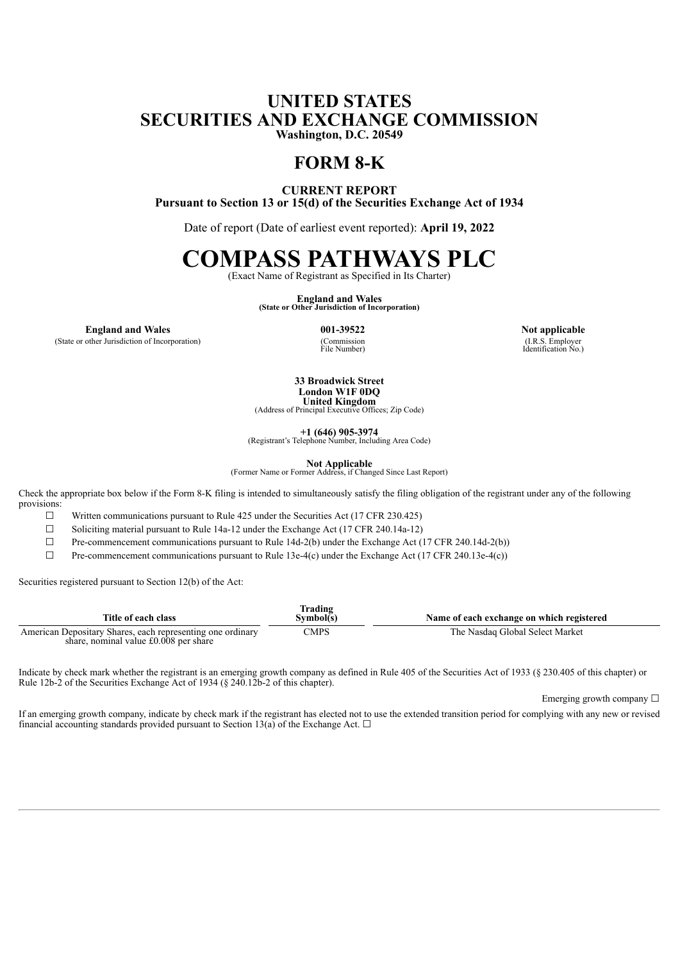## **UNITED STATES SECURITIES AND EXCHANGE COMMISSION Washington, D.C. 20549**

**FORM 8-K**

**CURRENT REPORT Pursuant to Section 13 or 15(d) of the Securities Exchange Act of 1934**

Date of report (Date of earliest event reported): **April 19, 2022**

## **COMPASS PATHWAYS PLC**

(Exact Name of Registrant as Specified in Its Charter)

**England and Wales (State or Other Jurisdiction of Incorporation)**

**England and Wales 001-39522 Not applicable**

(State or other Jurisdiction of Incorporation)

(Commission<br>File Number)

(I.R.S. Employer Identification No.)

**33 Broadwick Street London W1F 0DQ United Kingdom**

(Address of Principal Executive Offices; Zip Code)

**+1 (646) 905-3974** (Registrant's Telephone Number, Including Area Code)

**Not Applicable** (Former Name or Former Address, if Changed Since Last Report)

Check the appropriate box below if the Form 8-K filing is intended to simultaneously satisfy the filing obligation of the registrant under any of the following provisions:

 $\Box$  Written communications pursuant to Rule 425 under the Securities Act (17 CFR 230.425)

 $\Box$  Soliciting material pursuant to Rule 14a-12 under the Exchange Act (17 CFR 240.14a-12)

 $\Box$  Pre-commencement communications pursuant to Rule 14d-2(b) under the Exchange Act (17 CFR 240.14d-2(b))

 $\Box$  Pre-commencement communications pursuant to Rule 13e-4(c) under the Exchange Act (17 CFR 240.13e-4(c))

Securities registered pursuant to Section 12(b) of the Act:

| Title of each class                                                                                 | <b>Trading</b><br>Svmbol(s) | Name of each exchange on which registered |
|-----------------------------------------------------------------------------------------------------|-----------------------------|-------------------------------------------|
| American Depositary Shares, each representing one ordinary<br>share, nominal value £0.008 per share | CMPS                        | The Nasdaq Global Select Market           |

Indicate by check mark whether the registrant is an emerging growth company as defined in Rule 405 of the Securities Act of 1933 (§ 230.405 of this chapter) or Rule 12b-2 of the Securities Exchange Act of 1934 (§ 240.12b-2 of this chapter).

Emerging growth company  $\Box$ 

If an emerging growth company, indicate by check mark if the registrant has elected not to use the extended transition period for complying with any new or revised financial accounting standards provided pursuant to Section 13(a) of the Exchange Act.  $\Box$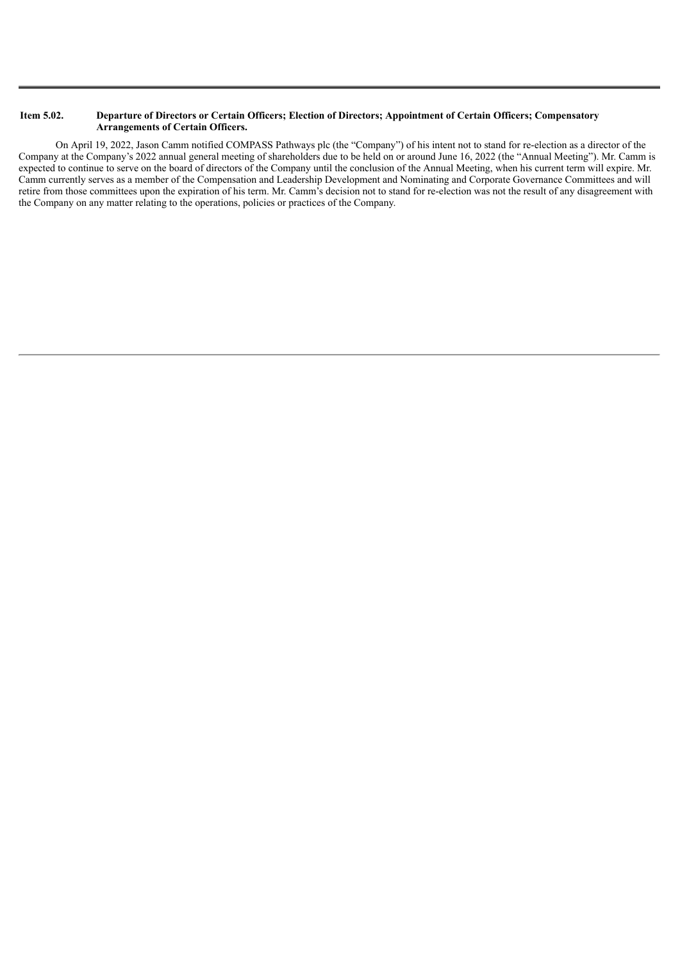## Item 5.02. Departure of Directors or Certain Officers; Election of Directors; Appointment of Certain Officers; Compensatory **Arrangements of Certain Officers.**

On April 19, 2022, Jason Camm notified COMPASS Pathways plc (the "Company") of his intent not to stand for re-election as a director of the Company at the Company's 2022 annual general meeting of shareholders due to be held on or around June 16, 2022 (the "Annual Meeting"). Mr. Camm is expected to continue to serve on the board of directors of the Company until the conclusion of the Annual Meeting, when his current term will expire. Mr. Camm currently serves as a member of the Compensation and Leadership Development and Nominating and Corporate Governance Committees and will retire from those committees upon the expiration of his term. Mr. Camm's decision not to stand for re-election was not the result of any disagreement with the Company on any matter relating to the operations, policies or practices of the Company.